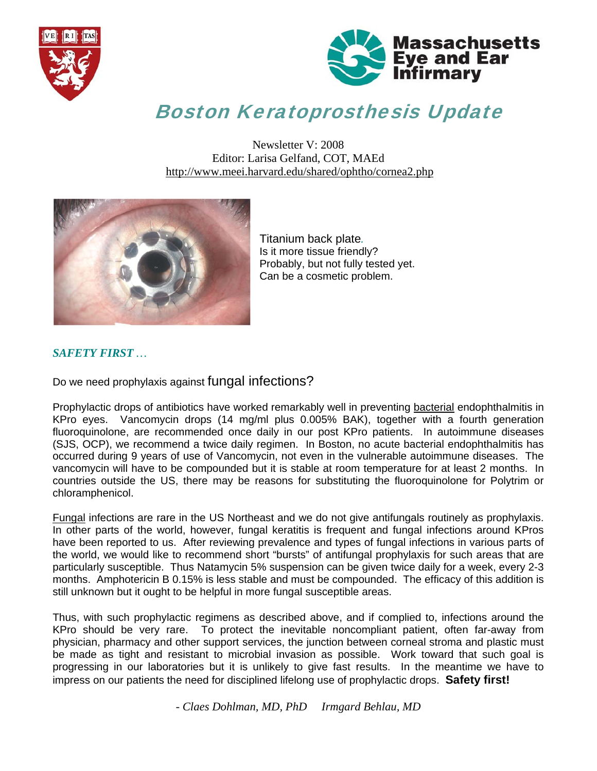



# Boston Keratoprosthesis Update

Newsletter V: 2008 Editor: Larisa Gelfand, COT, MAEd http://www.meei.harvard.edu/shared/ophtho/cornea2.php



Titanium back plate*.*  Is it more tissue friendly? Probably, but not fully tested yet. Can be a cosmetic problem.

#### *SAFETY FIRST …*

Do we need prophylaxis against fungal infections?

Prophylactic drops of antibiotics have worked remarkably well in preventing bacterial endophthalmitis in KPro eyes. Vancomycin drops (14 mg/ml plus 0.005% BAK), together with a fourth generation fluoroquinolone, are recommended once daily in our post KPro patients. In autoimmune diseases (SJS, OCP), we recommend a twice daily regimen. In Boston, no acute bacterial endophthalmitis has occurred during 9 years of use of Vancomycin, not even in the vulnerable autoimmune diseases. The vancomycin will have to be compounded but it is stable at room temperature for at least 2 months. In countries outside the US, there may be reasons for substituting the fluoroquinolone for Polytrim or chloramphenicol.

Fungal infections are rare in the US Northeast and we do not give antifungals routinely as prophylaxis. In other parts of the world, however, fungal keratitis is frequent and fungal infections around KPros have been reported to us. After reviewing prevalence and types of fungal infections in various parts of the world, we would like to recommend short "bursts" of antifungal prophylaxis for such areas that are particularly susceptible. Thus Natamycin 5% suspension can be given twice daily for a week, every 2-3 months. Amphotericin B 0.15% is less stable and must be compounded. The efficacy of this addition is still unknown but it ought to be helpful in more fungal susceptible areas.

Thus, with such prophylactic regimens as described above, and if complied to, infections around the KPro should be very rare. To protect the inevitable noncompliant patient, often far-away from physician, pharmacy and other support services, the junction between corneal stroma and plastic must be made as tight and resistant to microbial invasion as possible. Work toward that such goal is progressing in our laboratories but it is unlikely to give fast results. In the meantime we have to impress on our patients the need for disciplined lifelong use of prophylactic drops. **Safety first!** 

*- Claes Dohlman, MD, PhD Irmgard Behlau, MD*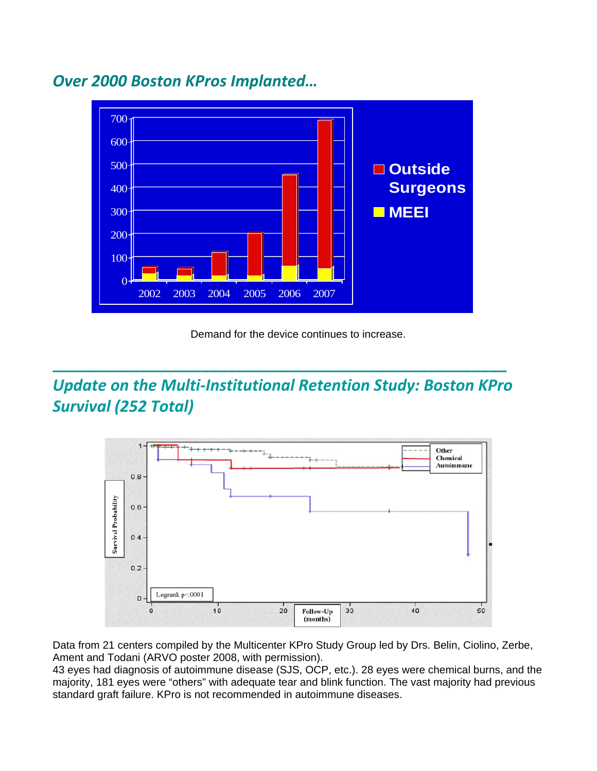

## *Over 2000 Boston KPros Implanted…*

Demand for the device continues to increase.

## *Update on the Multi‐Institutional Retention Study: Boston KPro Survival (252 Total)*

**\_\_\_\_\_\_\_\_\_\_\_\_\_\_\_\_\_\_\_\_\_\_\_\_\_\_\_\_\_\_\_\_\_\_\_\_\_\_\_\_\_\_\_\_\_\_\_\_\_\_\_\_**



Data from 21 centers compiled by the Multicenter KPro Study Group led by Drs. Belin, Ciolino, Zerbe, Ament and Todani (ARVO poster 2008, with permission).

43 eyes had diagnosis of autoimmune disease (SJS, OCP, etc.). 28 eyes were chemical burns, and the majority, 181 eyes were "others" with adequate tear and blink function. The vast majority had previous standard graft failure. KPro is not recommended in autoimmune diseases.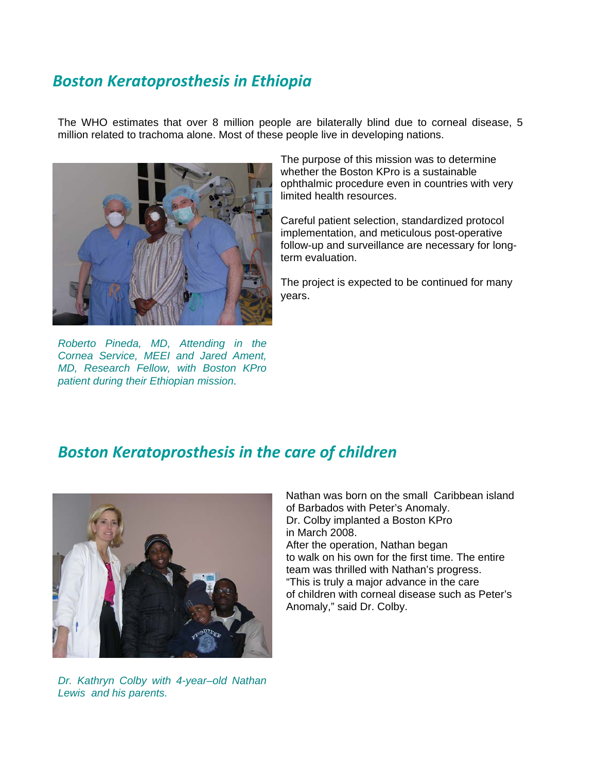## *Boston Keratoprosthesis in Ethiopia*

The WHO estimates that over 8 million people are bilaterally blind due to corneal disease, 5 million related to trachoma alone. Most of these people live in developing nations.



*Roberto Pineda, MD, Attending in the Cornea Service, MEEI and Jared Ament, MD, Research Fellow, with Boston KPro patient during their Ethiopian mission.*

The purpose of this mission was to determine whether the Boston KPro is a sustainable ophthalmic procedure even in countries with very limited health resources.

Careful patient selection, standardized protocol implementation, and meticulous post-operative follow-up and surveillance are necessary for longterm evaluation.

The project is expected to be continued for many years.

### *Boston Keratoprosthesis in the care of children*



*Dr. Kathryn Colby with 4-year–old Nathan Lewis and his parents.* 

 Nathan was born on the small Caribbean island of Barbados with Peter's Anomaly. Dr. Colby implanted a Boston KPro in March 2008. After the operation, Nathan began to walk on his own for the first time. The entire team was thrilled with Nathan's progress. "This is truly a major advance in the care of children with corneal disease such as Peter's Anomaly," said Dr. Colby.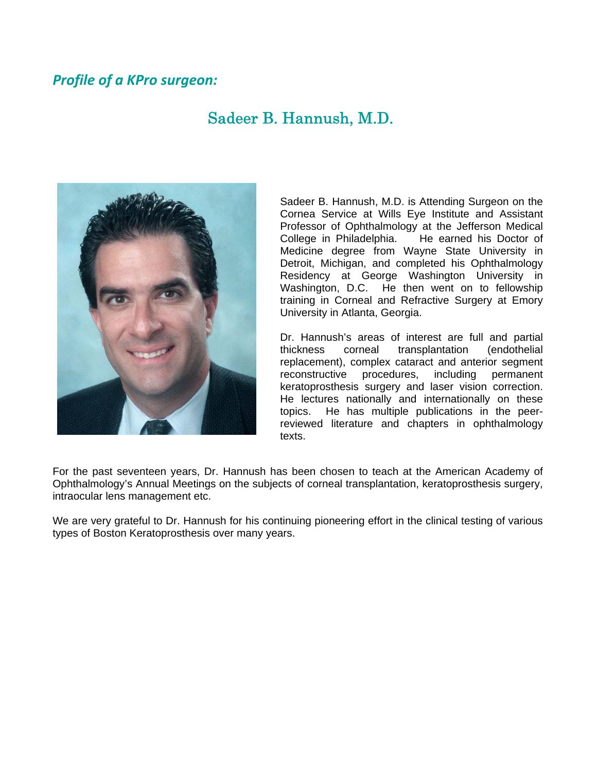#### *Profile of a KPro surgeon:*

## Sadeer B. Hannush, M.D.



Sadeer B. Hannush, M.D. is Attending Surgeon on the Cornea Service at Wills Eye Institute and Assistant Professor of Ophthalmology at the Jefferson Medical College in Philadelphia. He earned his Doctor of Medicine degree from Wayne State University in Detroit, Michigan, and completed his Ophthalmology Residency at George Washington University in Washington, D.C. He then went on to fellowship training in Corneal and Refractive Surgery at Emory University in Atlanta, Georgia.

Dr. Hannush's areas of interest are full and partial thickness corneal transplantation (endothelial replacement), complex cataract and anterior segment reconstructive procedures, including permanent keratoprosthesis surgery and laser vision correction. He lectures nationally and internationally on these topics. He has multiple publications in the peerreviewed literature and chapters in ophthalmology texts.

For the past seventeen years, Dr. Hannush has been chosen to teach at the American Academy of Ophthalmology's Annual Meetings on the subjects of corneal transplantation, keratoprosthesis surgery, intraocular lens management etc.

We are very grateful to Dr. Hannush for his continuing pioneering effort in the clinical testing of various types of Boston Keratoprosthesis over many years.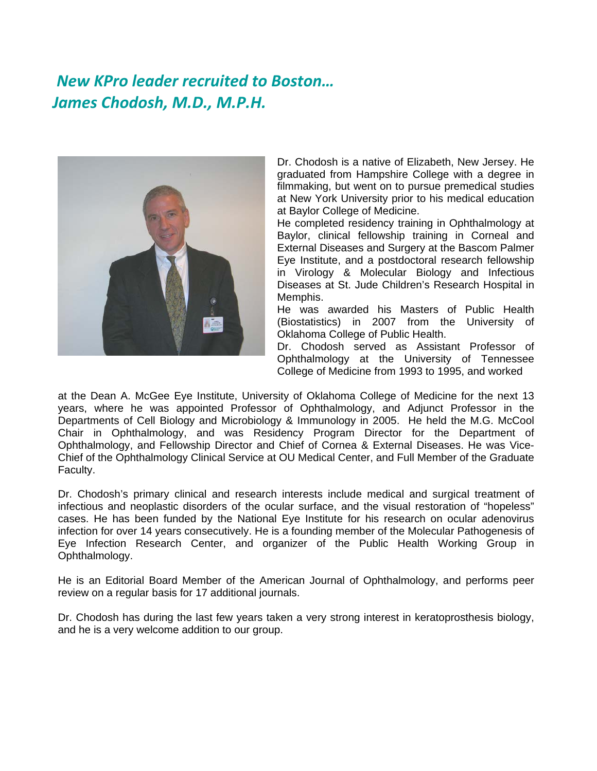## *New KPro leader recruited to Boston… James Chodosh, M.D., M.P.H.*



Dr. Chodosh is a native of Elizabeth, New Jersey. He graduated from Hampshire College with a degree in filmmaking, but went on to pursue premedical studies at New York University prior to his medical education at Baylor College of Medicine.

He completed residency training in Ophthalmology at Baylor, clinical fellowship training in Corneal and External Diseases and Surgery at the Bascom Palmer Eye Institute, and a postdoctoral research fellowship in Virology & Molecular Biology and Infectious Diseases at St. Jude Children's Research Hospital in Memphis.

He was awarded his Masters of Public Health (Biostatistics) in 2007 from the University of Oklahoma College of Public Health.

Dr. Chodosh served as Assistant Professor of Ophthalmology at the University of Tennessee College of Medicine from 1993 to 1995, and worked

at the Dean A. McGee Eye Institute, University of Oklahoma College of Medicine for the next 13 years, where he was appointed Professor of Ophthalmology, and Adjunct Professor in the Departments of Cell Biology and Microbiology & Immunology in 2005. He held the M.G. McCool Chair in Ophthalmology, and was Residency Program Director for the Department of Ophthalmology, and Fellowship Director and Chief of Cornea & External Diseases. He was Vice-Chief of the Ophthalmology Clinical Service at OU Medical Center, and Full Member of the Graduate Faculty.

Dr. Chodosh's primary clinical and research interests include medical and surgical treatment of infectious and neoplastic disorders of the ocular surface, and the visual restoration of "hopeless" cases. He has been funded by the National Eye Institute for his research on ocular adenovirus infection for over 14 years consecutively. He is a founding member of the Molecular Pathogenesis of Eye Infection Research Center, and organizer of the Public Health Working Group in Ophthalmology.

He is an Editorial Board Member of the American Journal of Ophthalmology, and performs peer review on a regular basis for 17 additional journals.

Dr. Chodosh has during the last few years taken a very strong interest in keratoprosthesis biology, and he is a very welcome addition to our group.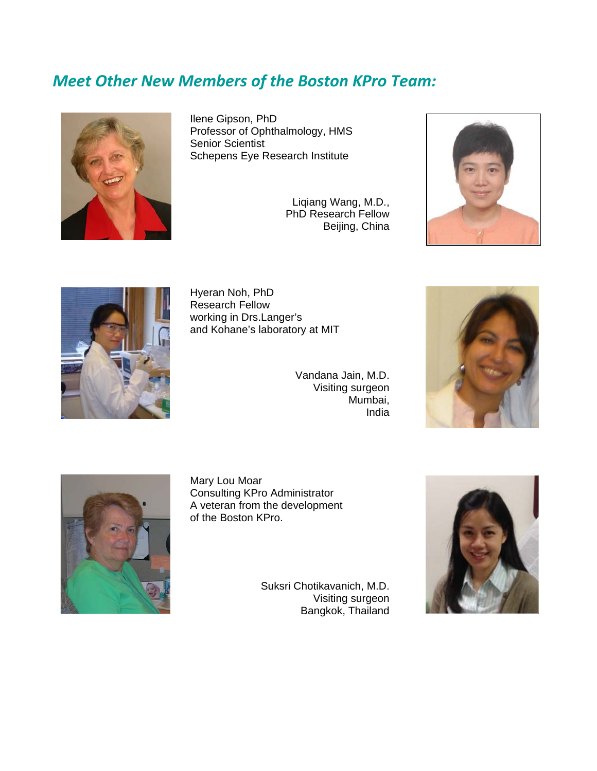## *Meet Other New Members of the Boston KPro Team:*



Ilene Gipson, PhD Professor of Ophthalmology, HMS Senior Scientist Schepens Eye Research Institute

> Liqiang Wang, M.D., PhD Research Fellow Beijing, China





Hyeran Noh, PhD Research Fellow working in Drs.Langer's and Kohane's laboratory at MIT

> Vandana Jain, M.D. Visiting surgeon Mumbai, India





Mary Lou Moar Consulting KPro Administrator A veteran from the development of the Boston KPro.

> Suksri Chotikavanich, M.D. Visiting surgeon Bangkok, Thailand

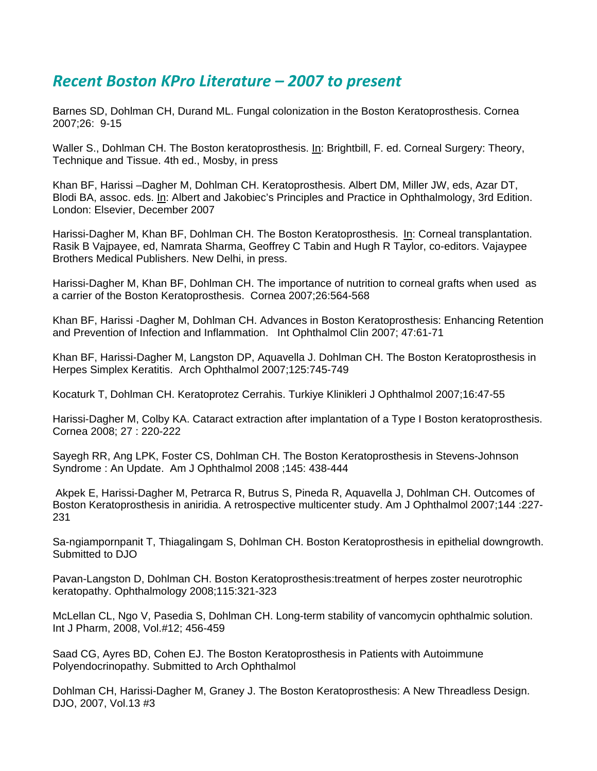### *Recent Boston KPro Literature – 2007 to present*

Barnes SD, Dohlman CH, Durand ML. Fungal colonization in the Boston Keratoprosthesis. Cornea 2007;26: 9-15

Waller S., Dohlman CH. The Boston keratoprosthesis. In: Brightbill, F. ed. Corneal Surgery: Theory, Technique and Tissue. 4th ed., Mosby, in press

Khan BF, Harissi –Dagher M, Dohlman CH. Keratoprosthesis. Albert DM, Miller JW, eds, Azar DT, Blodi BA, assoc. eds. In: Albert and Jakobiec's Principles and Practice in Ophthalmology, 3rd Edition. London: Elsevier, December 2007

Harissi-Dagher M, Khan BF, Dohlman CH. The Boston Keratoprosthesis. In: Corneal transplantation. Rasik B Vajpayee, ed, Namrata Sharma, Geoffrey C Tabin and Hugh R Taylor, co-editors. Vajaypee Brothers Medical Publishers. New Delhi, in press.

Harissi-Dagher M, Khan BF, Dohlman CH. The importance of nutrition to corneal grafts when used as a carrier of the Boston Keratoprosthesis. Cornea 2007;26:564-568

Khan BF, Harissi -Dagher M, Dohlman CH. Advances in Boston Keratoprosthesis: Enhancing Retention and Prevention of Infection and Inflammation. Int Ophthalmol Clin 2007; 47:61-71

Khan BF, Harissi-Dagher M, Langston DP, Aquavella J. Dohlman CH. The Boston Keratoprosthesis in Herpes Simplex Keratitis. Arch Ophthalmol 2007;125:745-749

Kocaturk T, Dohlman CH. Keratoprotez Cerrahis. Turkiye Klinikleri J Ophthalmol 2007;16:47-55

Harissi-Dagher M, Colby KA. Cataract extraction after implantation of a Type I Boston keratoprosthesis. Cornea 2008; 27 : 220-222

Sayegh RR, Ang LPK, Foster CS, Dohlman CH. The Boston Keratoprosthesis in Stevens-Johnson Syndrome : An Update. Am J Ophthalmol 2008 ;145: 438-444

 Akpek E, Harissi-Dagher M, Petrarca R, Butrus S, Pineda R, Aquavella J, Dohlman CH. Outcomes of Boston Keratoprosthesis in aniridia. A retrospective multicenter study. Am J Ophthalmol 2007;144 :227- 231

Sa-ngiampornpanit T, Thiagalingam S, Dohlman CH. Boston Keratoprosthesis in epithelial downgrowth. Submitted to DJO

Pavan-Langston D, Dohlman CH. Boston Keratoprosthesis:treatment of herpes zoster neurotrophic keratopathy. Ophthalmology 2008;115:321-323

McLellan CL, Ngo V, Pasedia S, Dohlman CH. Long-term stability of vancomycin ophthalmic solution. Int J Pharm, 2008, Vol.#12; 456-459

Saad CG, Ayres BD, Cohen EJ. The Boston Keratoprosthesis in Patients with Autoimmune Polyendocrinopathy. Submitted to Arch Ophthalmol

Dohlman CH, Harissi-Dagher M, Graney J. The Boston Keratoprosthesis: A New Threadless Design. DJO, 2007, Vol.13 #3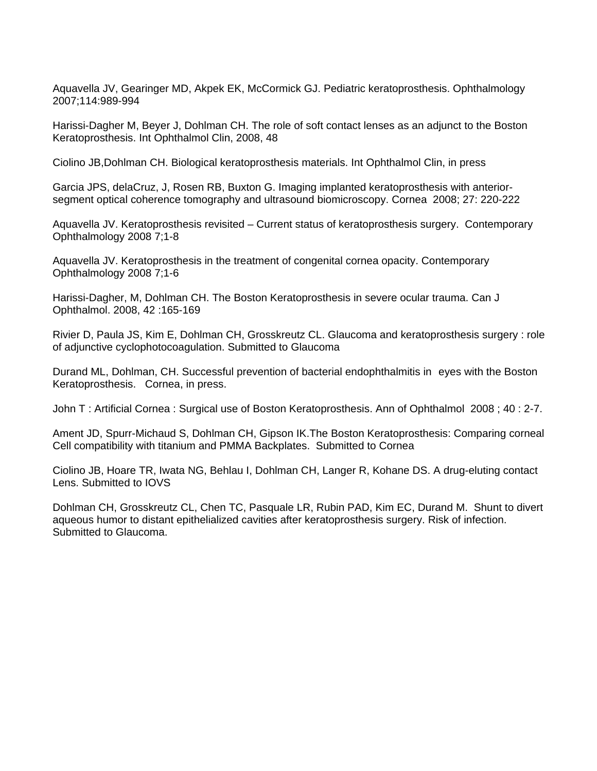Aquavella JV, Gearinger MD, Akpek EK, McCormick GJ. Pediatric keratoprosthesis. Ophthalmology 2007;114:989-994

Harissi-Dagher M, Beyer J, Dohlman CH. The role of soft contact lenses as an adjunct to the Boston Keratoprosthesis. Int Ophthalmol Clin, 2008, 48

Ciolino JB,Dohlman CH. Biological keratoprosthesis materials. Int Ophthalmol Clin, in press

Garcia JPS, delaCruz, J, Rosen RB, Buxton G. Imaging implanted keratoprosthesis with anteriorsegment optical coherence tomography and ultrasound biomicroscopy. Cornea 2008; 27: 220-222

Aquavella JV. Keratoprosthesis revisited – Current status of keratoprosthesis surgery. Contemporary Ophthalmology 2008 7;1-8

Aquavella JV. Keratoprosthesis in the treatment of congenital cornea opacity. Contemporary Ophthalmology 2008 7;1-6

Harissi-Dagher, M, Dohlman CH. The Boston Keratoprosthesis in severe ocular trauma. Can J Ophthalmol. 2008, 42 :165-169

Rivier D, Paula JS, Kim E, Dohlman CH, Grosskreutz CL. Glaucoma and keratoprosthesis surgery : role of adjunctive cyclophotocoagulation. Submitted to Glaucoma

Durand ML, Dohlman, CH. Successful prevention of bacterial endophthalmitis in eyes with the Boston Keratoprosthesis. Cornea, in press.

John T : Artificial Cornea : Surgical use of Boston Keratoprosthesis. Ann of Ophthalmol 2008 ; 40 : 2-7.

Ament JD, Spurr-Michaud S, Dohlman CH, Gipson IK.The Boston Keratoprosthesis: Comparing corneal Cell compatibility with titanium and PMMA Backplates. Submitted to Cornea

Ciolino JB, Hoare TR, Iwata NG, Behlau I, Dohlman CH, Langer R, Kohane DS. A drug-eluting contact Lens. Submitted to IOVS

Dohlman CH, Grosskreutz CL, Chen TC, Pasquale LR, Rubin PAD, Kim EC, Durand M. Shunt to divert aqueous humor to distant epithelialized cavities after keratoprosthesis surgery. Risk of infection. Submitted to Glaucoma.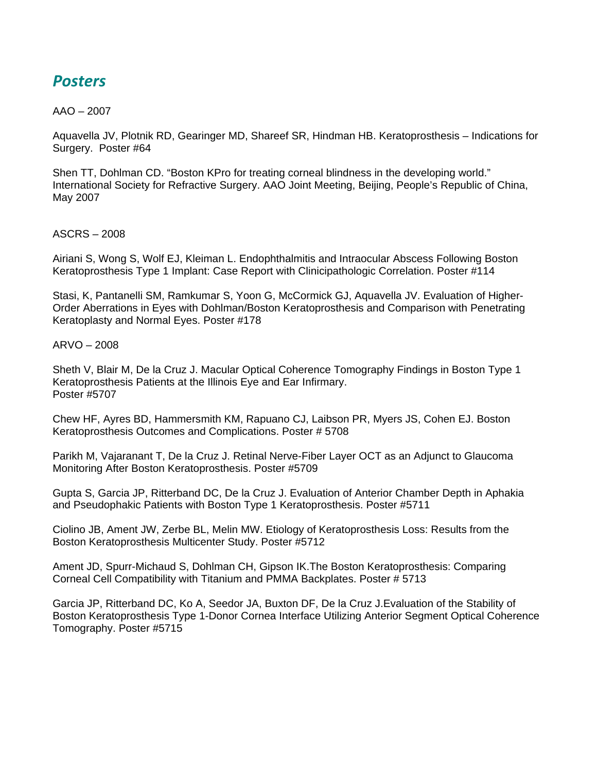## *Posters*

#### $AAO - 2007$

Aquavella JV, Plotnik RD, Gearinger MD, Shareef SR, Hindman HB. Keratoprosthesis – Indications for Surgery. Poster #64

Shen TT, Dohlman CD. "Boston KPro for treating corneal blindness in the developing world." International Society for Refractive Surgery. AAO Joint Meeting, Beijing, People's Republic of China, May 2007

ASCRS – 2008

Airiani S, Wong S, Wolf EJ, Kleiman L. Endophthalmitis and Intraocular Abscess Following Boston Keratoprosthesis Type 1 Implant: Case Report with Clinicipathologic Correlation. Poster #114

Stasi, K, Pantanelli SM, Ramkumar S, Yoon G, McCormick GJ, Aquavella JV. Evaluation of Higher-Order Aberrations in Eyes with Dohlman/Boston Keratoprosthesis and Comparison with Penetrating Keratoplasty and Normal Eyes. Poster #178

ARVO – 2008

Sheth V, Blair M, De la Cruz J. Macular Optical Coherence Tomography Findings in Boston Type 1 Keratoprosthesis Patients at the Illinois Eye and Ear Infirmary. Poster #5707

Chew HF, Ayres BD, Hammersmith KM, Rapuano CJ, Laibson PR, Myers JS, Cohen EJ. Boston Keratoprosthesis Outcomes and Complications. Poster # 5708

Parikh M, Vajaranant T, De la Cruz J. Retinal Nerve-Fiber Layer OCT as an Adjunct to Glaucoma Monitoring After Boston Keratoprosthesis. Poster #5709

Gupta S, Garcia JP, Ritterband DC, De la Cruz J. Evaluation of Anterior Chamber Depth in Aphakia and Pseudophakic Patients with Boston Type 1 Keratoprosthesis. Poster #5711

Ciolino JB, Ament JW, Zerbe BL, Melin MW. Etiology of Keratoprosthesis Loss: Results from the Boston Keratoprosthesis Multicenter Study. Poster #5712

Ament JD, Spurr-Michaud S, Dohlman CH, Gipson IK.The Boston Keratoprosthesis: Comparing Corneal Cell Compatibility with Titanium and PMMA Backplates. Poster # 5713

Garcia JP, Ritterband DC, Ko A, Seedor JA, Buxton DF, De la Cruz J.Evaluation of the Stability of Boston Keratoprosthesis Type 1-Donor Cornea Interface Utilizing Anterior Segment Optical Coherence Tomography. Poster #5715